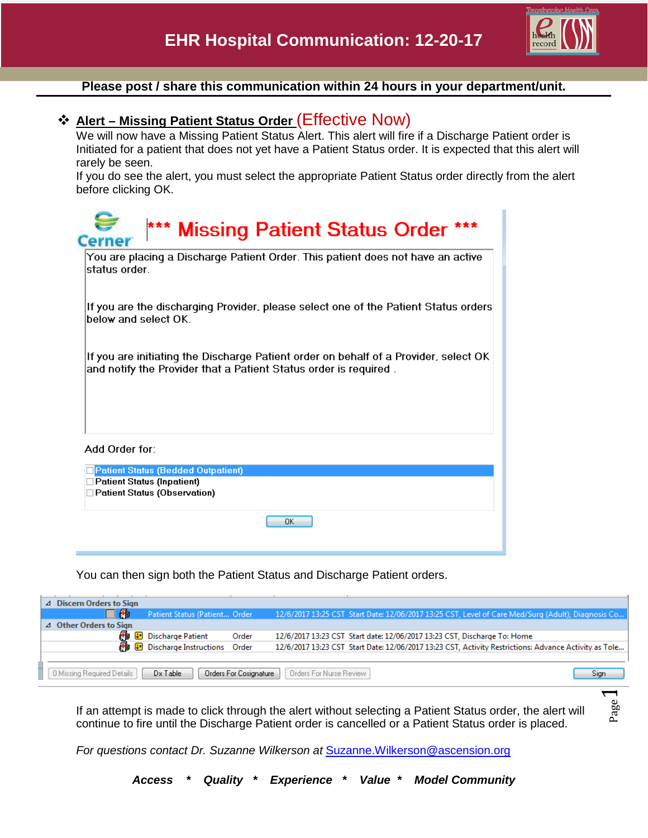

Page

## **Please post / share this communication within 24 hours in your department/unit.**

## **Alert – Missing Patient Status Order** (Effective Now)

We will now have a Missing Patient Status Alert. This alert will fire if a Discharge Patient order is Initiated for a patient that does not yet have a Patient Status order. It is expected that this alert will rarely be seen.

If you do see the alert, you must select the appropriate Patient Status order directly from the alert before clicking OK.

| *** Missing Patient Status Order<br>Cerner                                                                                                               |
|----------------------------------------------------------------------------------------------------------------------------------------------------------|
| You are placing a Discharge Patient Order. This patient does not have an active<br>status order                                                          |
| If you are the discharging Provider, please select one of the Patient Status orders<br>below and select OK.                                              |
| If you are initiating the Discharge Patient order on behalf of a Provider, select OK<br>and notify the Provider that a Patient Status order is required. |
| Add Order for:                                                                                                                                           |
| <b>Patient Status (Bedded Outpatient)</b><br><b>Patient Status (Inpatient)</b><br><b>Patient Status (Observation)</b>                                    |
| 0K                                                                                                                                                       |

You can then sign both the Patient Status and Discharge Patient orders.

| △ Discern Orders to Sign                                                                            |                                       |       |  |                                                                          |                                                                                                       |  |  |
|-----------------------------------------------------------------------------------------------------|---------------------------------------|-------|--|--------------------------------------------------------------------------|-------------------------------------------------------------------------------------------------------|--|--|
| ヿぬ                                                                                                  | Patient Status (Patient Order         |       |  |                                                                          | 12/6/2017 13:25 CST Start Date: 12/06/2017 13:25 CST, Level of Care Med/Surg (Adult), Diagnosis Co    |  |  |
| ⊿ Other Orders to Sign                                                                              |                                       |       |  |                                                                          |                                                                                                       |  |  |
| 畾                                                                                                   | Discharge Patient                     | Order |  | 12/6/2017 13:23 CST Start date: 12/06/2017 13:23 CST, Discharge To: Home |                                                                                                       |  |  |
|                                                                                                     | <b>B</b> Discharge Instructions Order |       |  |                                                                          | 12/6/2017 13:23 CST Start Date: 12/06/2017 13:23 CST, Activity Restrictions: Advance Activity as Tole |  |  |
|                                                                                                     |                                       |       |  |                                                                          |                                                                                                       |  |  |
| Orders For Nurse Review<br>Orders For Cosignature<br>0 Missing Required Details<br>Dx Table<br>Sian |                                       |       |  |                                                                          |                                                                                                       |  |  |
|                                                                                                     |                                       |       |  |                                                                          |                                                                                                       |  |  |

If an attempt is made to click through the alert without selecting a Patient Status order, the alert will continue to fire until the Discharge Patient order is cancelled or a Patient Status order is placed.

For questions contact Dr. Suzanne Wilkerson at **[Suzanne.Wilkerson@ascension.org](mailto:Suzanne.Wilkerson@ascension.org)** 

*Access \* Quality \* Experience \* Value \* Model Community*